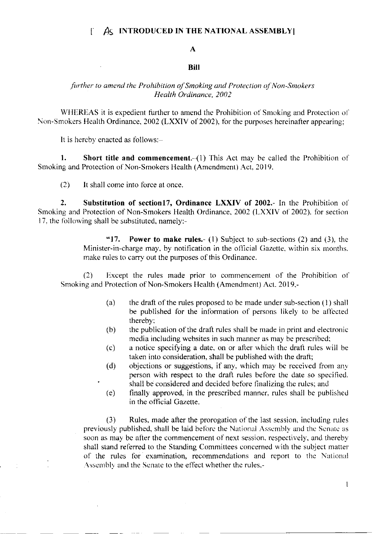#### f. A INTRODUCED IN THE NATIONAL ASSEMBLY

### A

### **Bill**

# further to amend the Prohibition of Smoking and Protection of Non-Smokers Health Ordinance, 2002

WHEREAS it is expedient further to amend the Prohibition of Smoking and Protection of Non-Smokers Health Ordinance, 2002 (LXXIV of 2002), for the purposes hereinafter appearing;

It is hereby enacted as follows:-

1. Short title and commencement.  $(1)$  This Act may be called the Prohibition of Smoking and Protection of Non-Smokers Health (Amendment) Act, 2019.

 $(2)$ It shall come into force at once.

 $2.$ Substitution of section17, Ordinance LXXIV of 2002.- In the Prohibition of Smoking and Protection of Non-Smokers Health Ordinance, 2002 (LXXIV of 2002), for section 17, the following shall be substituted, namely:-

> "17. **Power to make rules.** (1) Subject to sub-sections (2) and (3), the Minister-in-charge may, by notification in the official Gazette, within six months. make rules to carry out the purposes of this Ordinance.

Except the rules made prior to commencement of the Prohibition of  $(2)$ Smoking and Protection of Non-Smokers Health (Amendment) Act, 2019,-

- the draft of the rules proposed to be made under sub-section (1) shall  $(a)$ be published for the information of persons likely to be affected thereby:
- the publication of the draft rules shall be made in print and electronic  $(b)$ media including websites in such manner as may be prescribed;
- a notice specifying a date, on or after which the draft rules will be  $(c)$ taken into consideration, shall be published with the draft;
- objections or suggestions, if any, which may be received from any (d) person with respect to the draft rules before the date so specified. shall be considered and decided before finalizing the rules; and
- $(e)$ finally approved, in the prescribed manner, rules shall be published in the official Gazette.

Rules, made after the prorogation of the last session, including rules  $(3)$ previously published, shall be laid before the National Assembly and the Senate as soon as may be after the commencement of next session, respectively, and thereby shall stand referred to the Standing Committees concerned with the subject matter of the rules for examination, recommendations and report to the National Assembly and the Senate to the effect whether the rules,-

 $\mathbf{1}$